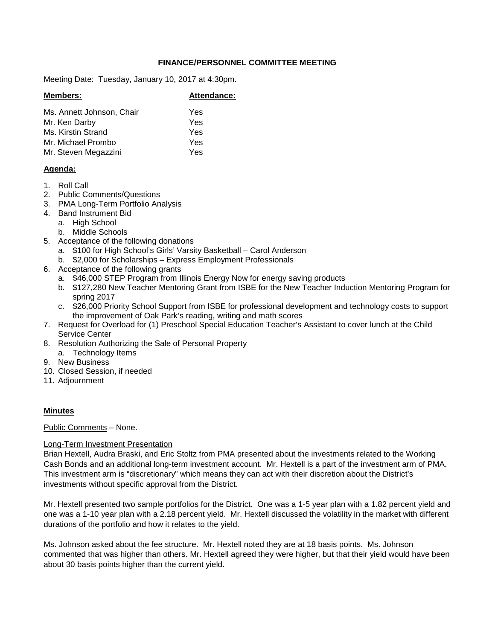# **FINANCE/PERSONNEL COMMITTEE MEETING**

Meeting Date: Tuesday, January 10, 2017 at 4:30pm.

| <b>Members:</b>           | Attendance: |
|---------------------------|-------------|
| Ms. Annett Johnson, Chair | Yes         |
| Mr. Ken Darby             | Yes         |
| Ms. Kirstin Strand        | Yes         |
| Mr. Michael Prombo        | Yes         |
| Mr. Steven Megazzini      | Yes         |
|                           |             |

## **Agenda:**

- 1. Roll Call
- 2. Public Comments/Questions
- 3. PMA Long-Term Portfolio Analysis
- 4. Band Instrument Bid
	- a. High School
		- b. Middle Schools
- 5. Acceptance of the following donations
	- a. \$100 for High School's Girls' Varsity Basketball Carol Anderson
	- b. \$2,000 for Scholarships Express Employment Professionals
- 6. Acceptance of the following grants
	- a. \$46,000 STEP Program from Illinois Energy Now for energy saving products
	- b. \$127,280 New Teacher Mentoring Grant from ISBE for the New Teacher Induction Mentoring Program for spring 2017
	- c. \$26,000 Priority School Support from ISBE for professional development and technology costs to support the improvement of Oak Park's reading, writing and math scores
- 7. Request for Overload for (1) Preschool Special Education Teacher's Assistant to cover lunch at the Child Service Center
- 8. Resolution Authorizing the Sale of Personal Property
	- a. Technology Items
- 9. New Business
- 10. Closed Session, if needed
- 11. Adjournment

# **Minutes**

Public Comments – None.

# Long-Term Investment Presentation

Brian Hextell, Audra Braski, and Eric Stoltz from PMA presented about the investments related to the Working Cash Bonds and an additional long-term investment account. Mr. Hextell is a part of the investment arm of PMA. This investment arm is "discretionary" which means they can act with their discretion about the District's investments without specific approval from the District.

Mr. Hextell presented two sample portfolios for the District. One was a 1-5 year plan with a 1.82 percent yield and one was a 1-10 year plan with a 2.18 percent yield. Mr. Hextell discussed the volatility in the market with different durations of the portfolio and how it relates to the yield.

Ms. Johnson asked about the fee structure. Mr. Hextell noted they are at 18 basis points. Ms. Johnson commented that was higher than others. Mr. Hextell agreed they were higher, but that their yield would have been about 30 basis points higher than the current yield.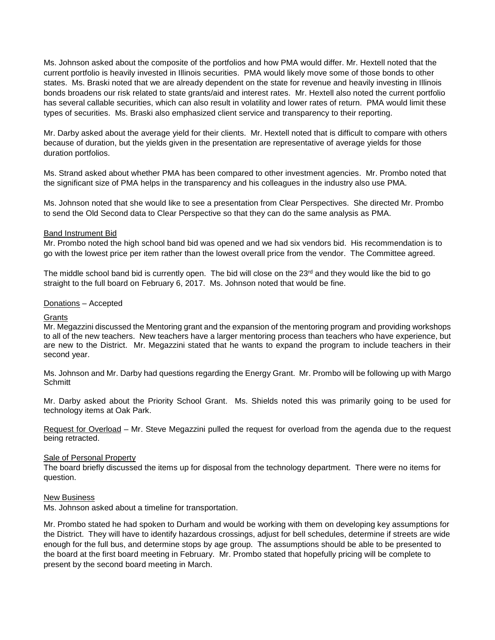Ms. Johnson asked about the composite of the portfolios and how PMA would differ. Mr. Hextell noted that the current portfolio is heavily invested in Illinois securities. PMA would likely move some of those bonds to other states. Ms. Braski noted that we are already dependent on the state for revenue and heavily investing in Illinois bonds broadens our risk related to state grants/aid and interest rates. Mr. Hextell also noted the current portfolio has several callable securities, which can also result in volatility and lower rates of return. PMA would limit these types of securities. Ms. Braski also emphasized client service and transparency to their reporting.

Mr. Darby asked about the average yield for their clients. Mr. Hextell noted that is difficult to compare with others because of duration, but the yields given in the presentation are representative of average yields for those duration portfolios.

Ms. Strand asked about whether PMA has been compared to other investment agencies. Mr. Prombo noted that the significant size of PMA helps in the transparency and his colleagues in the industry also use PMA.

Ms. Johnson noted that she would like to see a presentation from Clear Perspectives. She directed Mr. Prombo to send the Old Second data to Clear Perspective so that they can do the same analysis as PMA.

### Band Instrument Bid

Mr. Prombo noted the high school band bid was opened and we had six vendors bid. His recommendation is to go with the lowest price per item rather than the lowest overall price from the vendor. The Committee agreed.

The middle school band bid is currently open. The bid will close on the  $23<sup>rd</sup>$  and they would like the bid to go straight to the full board on February 6, 2017. Ms. Johnson noted that would be fine.

### Donations – Accepted

#### **Grants**

Mr. Megazzini discussed the Mentoring grant and the expansion of the mentoring program and providing workshops to all of the new teachers. New teachers have a larger mentoring process than teachers who have experience, but are new to the District. Mr. Megazzini stated that he wants to expand the program to include teachers in their second year.

Ms. Johnson and Mr. Darby had questions regarding the Energy Grant. Mr. Prombo will be following up with Margo **Schmitt** 

Mr. Darby asked about the Priority School Grant. Ms. Shields noted this was primarily going to be used for technology items at Oak Park.

Request for Overload – Mr. Steve Megazzini pulled the request for overload from the agenda due to the request being retracted.

#### Sale of Personal Property

The board briefly discussed the items up for disposal from the technology department. There were no items for question.

### New Business

Ms. Johnson asked about a timeline for transportation.

Mr. Prombo stated he had spoken to Durham and would be working with them on developing key assumptions for the District. They will have to identify hazardous crossings, adjust for bell schedules, determine if streets are wide enough for the full bus, and determine stops by age group. The assumptions should be able to be presented to the board at the first board meeting in February. Mr. Prombo stated that hopefully pricing will be complete to present by the second board meeting in March.